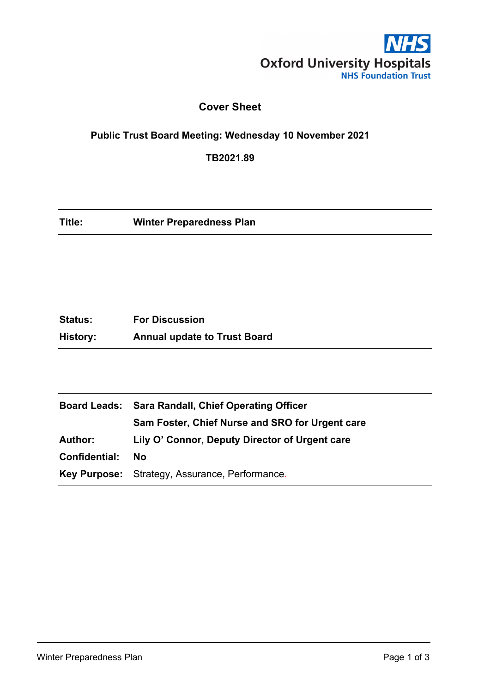

### **Cover Sheet**

### **Public Trust Board Meeting: Wednesday 10 November 2021**

**TB2021.89**

| Title:<br><b>Winter Preparedness Plan</b> |  |
|-------------------------------------------|--|
|-------------------------------------------|--|

| <b>Status:</b> | <b>For Discussion</b>               |
|----------------|-------------------------------------|
| History:       | <b>Annual update to Trust Board</b> |

|                | Board Leads: Sara Randall, Chief Operating Officer |  |  |
|----------------|----------------------------------------------------|--|--|
|                | Sam Foster, Chief Nurse and SRO for Urgent care    |  |  |
| <b>Author:</b> | Lily O' Connor, Deputy Director of Urgent care     |  |  |
| Confidential:  | <b>No</b>                                          |  |  |
|                | Key Purpose: Strategy, Assurance, Performance.     |  |  |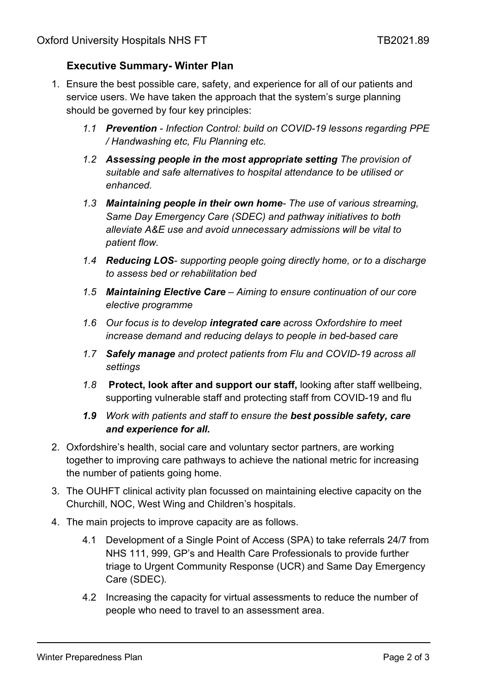### **Executive Summary- Winter Plan**

- 1. Ensure the best possible care, safety, and experience for all of our patients and service users. We have taken the approach that the system's surge planning should be governed by four key principles:
	- *1.1 Prevention - Infection Control: build on COVID-19 lessons regarding PPE / Handwashing etc, Flu Planning etc.*
	- *1.2 Assessing people in the most appropriate setting The provision of suitable and safe alternatives to hospital attendance to be utilised or enhanced.*
	- *1.3 Maintaining people in their own home- The use of various streaming, Same Day Emergency Care (SDEC) and pathway initiatives to both alleviate A&E use and avoid unnecessary admissions will be vital to patient flow.*
	- *1.4 Reducing LOS- supporting people going directly home, or to a discharge to assess bed or rehabilitation bed*
	- *1.5 Maintaining Elective Care – Aiming to ensure continuation of our core elective programme*
	- *1.6 Our focus is to develop integrated care across Oxfordshire to meet increase demand and reducing delays to people in bed-based care*
	- *1.7 Safely manage and protect patients from Flu and COVID-19 across all settings*
	- *1.8* **Protect, look after and support our staff,** looking after staff wellbeing, supporting vulnerable staff and protecting staff from COVID-19 and flu
	- *1.9 Work with patients and staff to ensure the best possible safety, care and experience for all.*
- 2. Oxfordshire's health, social care and voluntary sector partners, are working together to improving care pathways to achieve the national metric for increasing the number of patients going home.
- 3. The OUHFT clinical activity plan focussed on maintaining elective capacity on the Churchill, NOC, West Wing and Children's hospitals.
- 4. The main projects to improve capacity are as follows.
	- 4.1 Development of a Single Point of Access (SPA) to take referrals 24/7 from NHS 111, 999, GP's and Health Care Professionals to provide further triage to Urgent Community Response (UCR) and Same Day Emergency Care (SDEC).
	- 4.2 Increasing the capacity for virtual assessments to reduce the number of people who need to travel to an assessment area.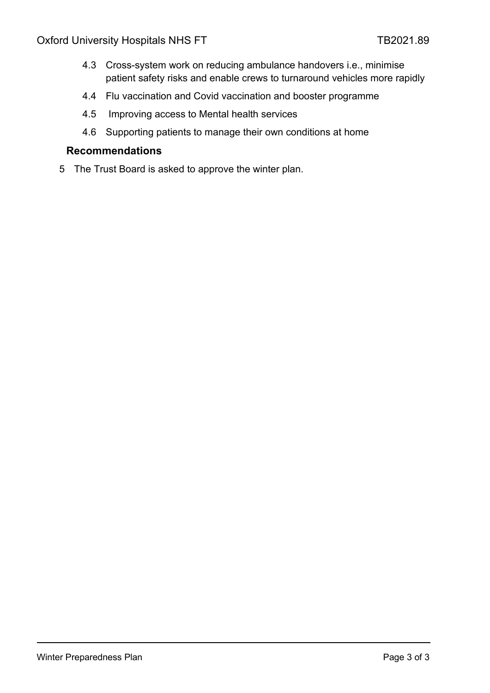- 4.3 Cross-system work on reducing ambulance handovers i.e., minimise patient safety risks and enable crews to turnaround vehicles more rapidly
- 4.4 Flu vaccination and Covid vaccination and booster programme
- 4.5 Improving access to Mental health services
- 4.6 Supporting patients to manage their own conditions at home

#### **Recommendations**

5 The Trust Board is asked to approve the winter plan.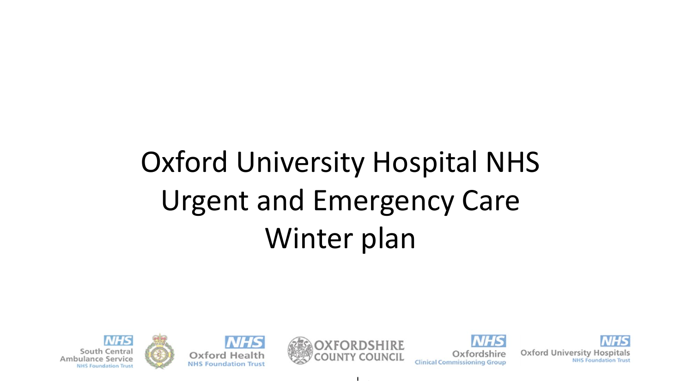# Oxford University Hospital NHS Urgent and Emergency Care Winter plan









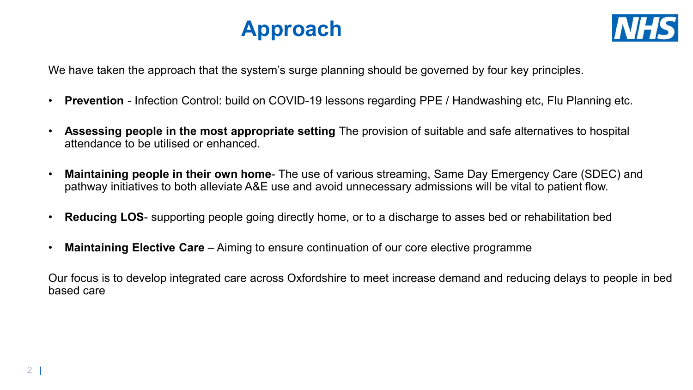



We have taken the approach that the system's surge planning should be governed by four key principles.

- **Prevention** Infection Control: build on COVID-19 lessons regarding PPE / Handwashing etc, Flu Planning etc.
- **Assessing people in the most appropriate setting** The provision of suitable and safe alternatives to hospital attendance to be utilised or enhanced.
- **Maintaining people in their own home** The use of various streaming, Same Day Emergency Care (SDEC) and pathway initiatives to both alleviate A&E use and avoid unnecessary admissions will be vital to patient flow.
- **Reducing LOS** supporting people going directly home, or to a discharge to asses bed or rehabilitation bed
- **Maintaining Elective Care**  Aiming to ensure continuation of our core elective programme

Our focus is to develop integrated care across Oxfordshire to meet increase demand and reducing delays to people in bed based care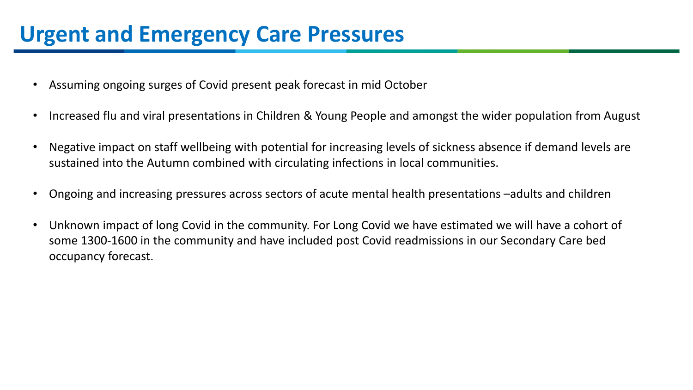# **Urgent and Emergency Care Pressures**

- Assuming ongoing surges of Covid present peak forecast in mid October
- Increased flu and viral presentations in Children & Young People and amongst the wider population from August
- Negative impact on staff wellbeing with potential for increasing levels of sickness absence if demand levels are sustained into the Autumn combined with circulating infections in local communities.
- Ongoing and increasing pressures across sectors of acute mental health presentations –adults and children
- Unknown impact of long Covid in the community. For Long Covid we have estimated we will have a cohort of some 1300-1600 in the community and have included post Covid readmissions in our Secondary Care bed occupancy forecast.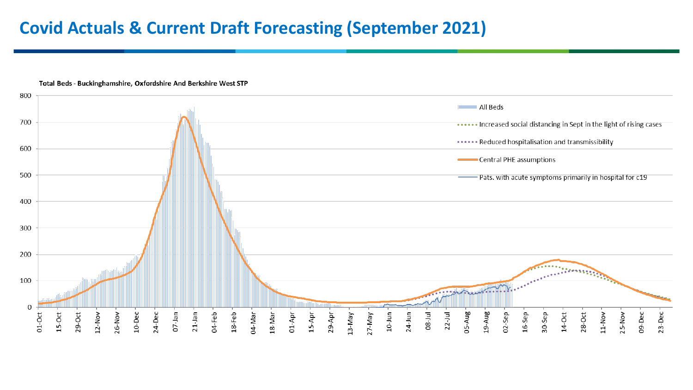### **Covid Actuals & Current Draft Forecasting (September 2021)**



Total Beds - Buckinghamshire, Oxfordshire And Berkshire West STP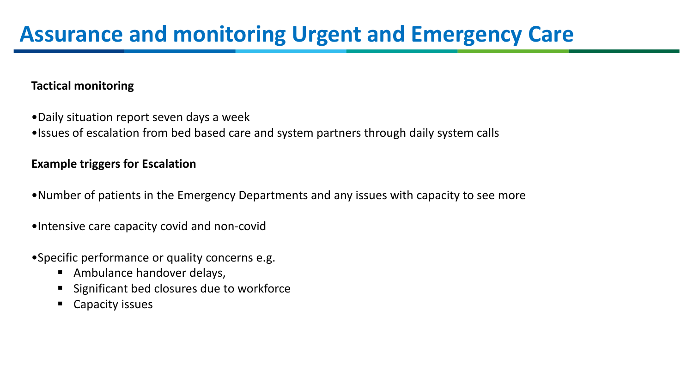### **Tactical monitoring**

- •Daily situation report seven days a week
- •Issues of escalation from bed based care and system partners through daily system calls

### **Example triggers for Escalation**

- •Number of patients in the Emergency Departments and any issues with capacity to see more
- •Intensive care capacity covid and non-covid
- •Specific performance or quality concerns e.g.
	- **Ambulance handover delays,**
	- **Significant bed closures due to workforce**
	- Capacity issues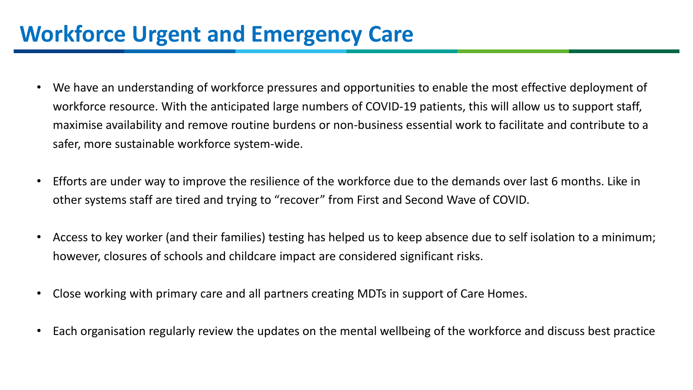# **Workforce Urgent and Emergency Care**

- We have an understanding of workforce pressures and opportunities to enable the most effective deployment of workforce resource. With the anticipated large numbers of COVID-19 patients, this will allow us to support staff, maximise availability and remove routine burdens or non-business essential work to facilitate and contribute to a safer, more sustainable workforce system-wide.
- Efforts are under way to improve the resilience of the workforce due to the demands over last 6 months. Like in other systems staff are tired and trying to "recover" from First and Second Wave of COVID.
- Access to key worker (and their families) testing has helped us to keep absence due to self isolation to a minimum; however, closures of schools and childcare impact are considered significant risks.
- Close working with primary care and all partners creating MDTs in support of Care Homes.
- Each organisation regularly review the updates on the mental wellbeing of the workforce and discuss best practice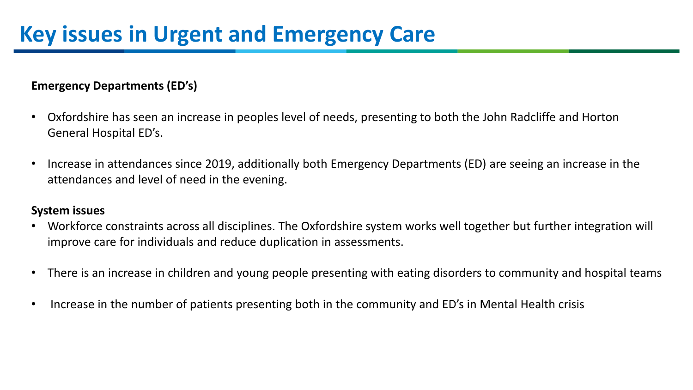### **Emergency Departments (ED's)**

- Oxfordshire has seen an increase in peoples level of needs, presenting to both the John Radcliffe and Horton General Hospital ED's.
- Increase in attendances since 2019, additionally both Emergency Departments (ED) are seeing an increase in the attendances and level of need in the evening.

### **System issues**

- Workforce constraints across all disciplines. The Oxfordshire system works well together but further integration will improve care for individuals and reduce duplication in assessments.
- There is an increase in children and young people presenting with eating disorders to community and hospital teams
- Increase in the number of patients presenting both in the community and ED's in Mental Health crisis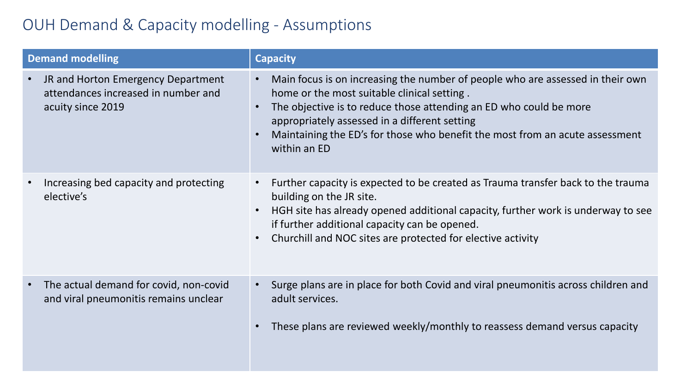### OUH Demand & Capacity modelling - Assumptions

| <b>Demand modelling</b>                                                                        | <b>Capacity</b>                                                                                                                                                                                                                                                                                                                                      |
|------------------------------------------------------------------------------------------------|------------------------------------------------------------------------------------------------------------------------------------------------------------------------------------------------------------------------------------------------------------------------------------------------------------------------------------------------------|
| JR and Horton Emergency Department<br>attendances increased in number and<br>acuity since 2019 | Main focus is on increasing the number of people who are assessed in their own<br>home or the most suitable clinical setting.<br>The objective is to reduce those attending an ED who could be more<br>appropriately assessed in a different setting<br>Maintaining the ED's for those who benefit the most from an acute assessment<br>within an ED |
| Increasing bed capacity and protecting<br>elective's                                           | Further capacity is expected to be created as Trauma transfer back to the trauma<br>building on the JR site.<br>HGH site has already opened additional capacity, further work is underway to see<br>if further additional capacity can be opened.<br>Churchill and NOC sites are protected for elective activity                                     |
| The actual demand for covid, non-covid<br>and viral pneumonitis remains unclear                | Surge plans are in place for both Covid and viral pneumonitis across children and<br>adult services.<br>These plans are reviewed weekly/monthly to reassess demand versus capacity                                                                                                                                                                   |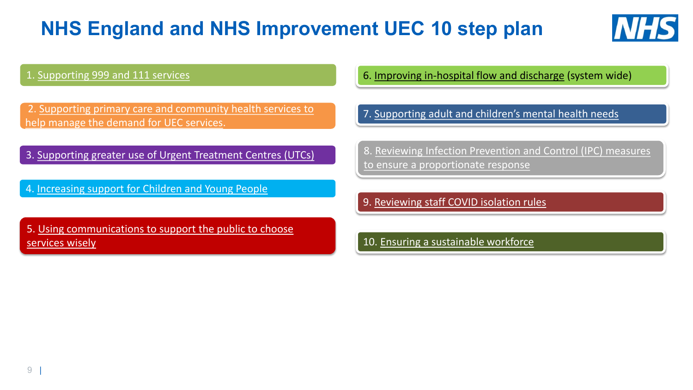# **NHS England and NHS Improvement UEC 10 step plan**



1. [Supporting 999 and 111 services](#page-13-0)

2. Supporting primary care and community health services to help manage the demand for UEC services.

3. Supporting greater use of Urgent Treatment Centres (UTCs)

4. Increasing support for Children and Young People

5. Using communications to support the public to choose services wisely

6. Improving in-hospital flow and discharge (system wide)

7. Supporting adult and children's mental health needs

8. Reviewing Infection Prevention and Control (IPC) measures to ensure a proportionate response

9. Reviewing staff COVID isolation rules

10. Ensuring a sustainable workforce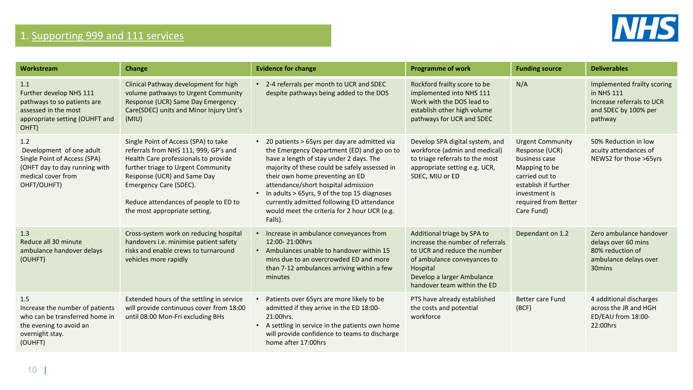

### 1. [Supporting 999 and 111 services](#page-13-0)

| Workstream                                                                                                                            | Change                                                                                                                                                                                                                                                                                         | <b>Evidence for change</b>                                                                                                                                                                                                                                                                                                                                                                                                             | <b>Programme of work</b>                                                                                                                                                                                | <b>Funding source</b>                                                                                                                                                        | <b>Deliverables</b>                                                                                               |
|---------------------------------------------------------------------------------------------------------------------------------------|------------------------------------------------------------------------------------------------------------------------------------------------------------------------------------------------------------------------------------------------------------------------------------------------|----------------------------------------------------------------------------------------------------------------------------------------------------------------------------------------------------------------------------------------------------------------------------------------------------------------------------------------------------------------------------------------------------------------------------------------|---------------------------------------------------------------------------------------------------------------------------------------------------------------------------------------------------------|------------------------------------------------------------------------------------------------------------------------------------------------------------------------------|-------------------------------------------------------------------------------------------------------------------|
| 1.1<br>Further develop NHS 111<br>pathways to so patients are<br>assessed in the most<br>appropriate setting (OUHFT and<br>OHFT)      | Clinical Pathway development for high<br>volume pathways to Urgent Community<br>Response (UCR) Same Day Emergency<br>Care(SDEC) units and Minor Injury Unt's<br>(MIU)                                                                                                                          | • 2-4 referrals per month to UCR and SDEC<br>despite pathways being added to the DOS                                                                                                                                                                                                                                                                                                                                                   | Rockford frailty score to be<br>implemented into NHS 111<br>Work with the DOS lead to<br>establish other high volume<br>pathways for UCR and SDEC                                                       | N/A                                                                                                                                                                          | Implemented frailty scoring<br>in NHS 111<br>Increase referrals to UCR<br>and SDEC by 100% per<br>pathway         |
| 1.2<br>Development of one adult<br>Single Point of Access (SPA)<br>(OHFT day to day running with<br>medical cover from<br>OHFT/OUHFT) | Single Point of Access (SPA) to take<br>referrals from NHS 111, 999, GP's and<br>Health Care professionals to provide<br>further triage to Urgent Community<br>Response (UCR) and Same Day<br>Emergency Care (SDEC).<br>Reduce attendances of people to ED to<br>the most appropriate setting. | 20 patients > 65yrs per day are admitted via<br>the Emergency Department (ED) and go on to<br>have a length of stay under 2 days. The<br>majority of these could be safely assessed in<br>their own home preventing an ED<br>attendance/short hospital admission<br>In adults > 65yrs, 9 of the top 15 diagnoses<br>$\bullet$<br>currently admitted following ED attendance<br>would meet the criteria for 2 hour UCR (e.g.<br>Falls). | Develop SPA digital system, and<br>workforce (admin and medical)<br>to triage referrals to the most<br>appropriate setting e.g. UCR,<br>SDEC, MIU or ED                                                 | <b>Urgent Community</b><br>Response (UCR)<br>business case<br>Mapping to be<br>carried out to<br>establish if further<br>investment is<br>required from Better<br>Care Fund) | 50% Reduction in low<br>acuity attendances of<br>NEWS2 for those >65yrs                                           |
| 1.3<br>Reduce all 30 minute<br>ambulance handover delays<br>(OUHFT)                                                                   | Cross-system work on reducing hospital<br>handovers i.e. minimise patient safety<br>risks and enable crews to turnaround<br>vehicles more rapidly                                                                                                                                              | • Increase in ambulance conveyances from<br>12:00-21:00hrs<br>• Ambulances unable to handover within 15<br>mins due to an overcrowded ED and more<br>than 7-12 ambulances arriving within a few<br>minutes                                                                                                                                                                                                                             | Additional triage by SPA to<br>increase the number of referrals<br>to UCR and reduce the number<br>of ambulance conveyances to<br>Hospital<br>Develop a larger Ambulance<br>handover team within the ED | Dependant on 1.2                                                                                                                                                             | Zero ambulance handover<br>delays over 60 mins<br>80% reduction of<br>ambulance delays over<br>30 <sub>mins</sub> |
| 1.5<br>Increase the number of patients<br>who can be transferred home in<br>the evening to avoid an<br>overnight stay.<br>(OUHFT)     | Extended hours of the settling in service<br>will provide continuous cover from 18:00<br>until 08:00 Mon-Fri excluding BHs                                                                                                                                                                     | Patients over 65yrs are more likely to be<br>admitted if they arrive in the ED 18:00-<br>21:00hrs.<br>A settling in service in the patients own home<br>$\bullet$<br>will provide confidence to teams to discharge<br>home after 17:00hrs                                                                                                                                                                                              | PTS have already established<br>the costs and potential<br>workforce                                                                                                                                    | <b>Better care Fund</b><br>(BCF)                                                                                                                                             | 4 additional discharges<br>across the JR and HGH<br>ED/EAU from 18:00-<br>22:00hrs                                |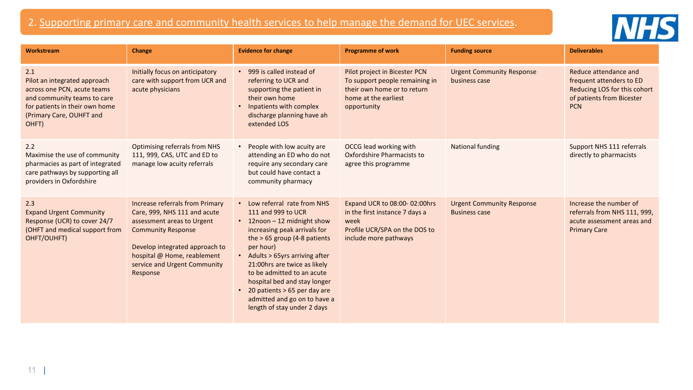### <span id="page-13-0"></span>2. Supporting primary care and community health services to help manage the demand for UEC services.



| Workstream                                                                                                                                                               | Change                                                                                                                                                                                                                                  | <b>Evidence for change</b>                                                                                                                                                                                                                                                                                                                                                                         | <b>Programme of work</b>                                                                                                              | <b>Funding source</b>                                    | <b>Deliverables</b>                                                                                                          |
|--------------------------------------------------------------------------------------------------------------------------------------------------------------------------|-----------------------------------------------------------------------------------------------------------------------------------------------------------------------------------------------------------------------------------------|----------------------------------------------------------------------------------------------------------------------------------------------------------------------------------------------------------------------------------------------------------------------------------------------------------------------------------------------------------------------------------------------------|---------------------------------------------------------------------------------------------------------------------------------------|----------------------------------------------------------|------------------------------------------------------------------------------------------------------------------------------|
| 2.1<br>Pilot an integrated approach<br>across one PCN, acute teams<br>and community teams to care<br>for patients in their own home<br>(Primary Care, OUHFT and<br>OHFT) | Initially focus on anticipatory<br>care with support from UCR and<br>acute physicians                                                                                                                                                   | • 999 is called instead of<br>referring to UCR and<br>supporting the patient in<br>their own home<br>Inpatients with complex<br>discharge planning have ah<br>extended LOS                                                                                                                                                                                                                         | Pilot project in Bicester PCN<br>To support people remaining in<br>their own home or to return<br>home at the earliest<br>opportunity | <b>Urgent Community Response</b><br>business case        | Reduce attendance and<br>frequent attenders to ED<br>Reducing LOS for this cohort<br>of patients from Bicester<br><b>PCN</b> |
| 2.2<br>Maximise the use of community<br>pharmacies as part of integrated<br>care pathways by supporting all<br>providers in Oxfordshire                                  | <b>Optimising referrals from NHS</b><br>111, 999, CAS, UTC and ED to<br>manage low acuity referrals                                                                                                                                     | People with low acuity are<br>attending an ED who do not<br>require any secondary care<br>but could have contact a<br>community pharmacy                                                                                                                                                                                                                                                           | OCCG lead working with<br>Oxfordshire Pharmacists to<br>agree this programme                                                          | <b>National funding</b>                                  | Support NHS 111 referrals<br>directly to pharmacists                                                                         |
| 2.3<br><b>Expand Urgent Community</b><br>Response (UCR) to cover 24/7<br>(OHFT and medical support from<br>OHFT/OUHFT)                                                   | Increase referrals from Primary<br>Care, 999, NHS 111 and acute<br>assessment areas to Urgent<br><b>Community Response</b><br>Develop integrated approach to<br>hospital @ Home, reablement<br>service and Urgent Community<br>Response | • Low referral rate from NHS<br>111 and 999 to UCR<br>• 12noon - 12 midnight show<br>increasing peak arrivals for<br>the $> 65$ group (4-8 patients<br>per hour)<br>• Adults > 65yrs arriving after<br>21:00hrs are twice as likely<br>to be admitted to an acute<br>hospital bed and stay longer<br>• 20 patients > 65 per day are<br>admitted and go on to have a<br>length of stay under 2 days | Expand UCR to 08:00-02:00hrs<br>in the first instance 7 days a<br>week<br>Profile UCR/SPA on the DOS to<br>include more pathways      | <b>Urgent Community Response</b><br><b>Business case</b> | Increase the number of<br>referrals from NHS 111, 999,<br>acute assessment areas and<br><b>Primary Care</b>                  |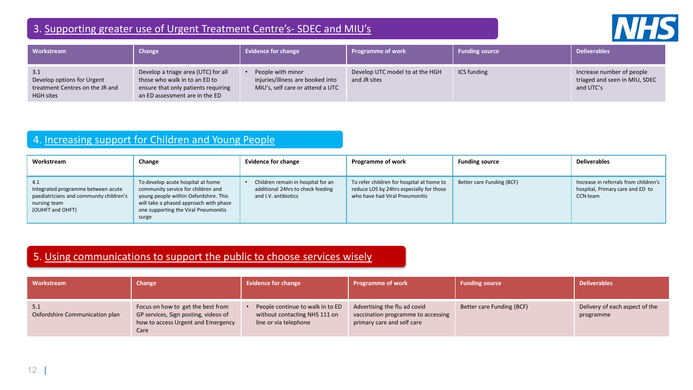### 3. Supporting greater use of Urgent Treatment Centre's- SDEC and MIU's



| Workstream                                                                               | Change                                                                                                                                        | <b>Evidence for change</b>                                                                | <b>Programme of work</b>                        | <b>Funding source</b> | <b>Deliverables</b>                                                     |
|------------------------------------------------------------------------------------------|-----------------------------------------------------------------------------------------------------------------------------------------------|-------------------------------------------------------------------------------------------|-------------------------------------------------|-----------------------|-------------------------------------------------------------------------|
| 3.1<br>Develop options for Urgent<br>treatment Centres on the JR and<br><b>HGH</b> sites | Develop a triage area (UTC) for all<br>those who walk in to an ED to<br>ensure that only patients requiring<br>an ED assessment are in the ED | People with minor<br>injuries/illness are booked into<br>MIU's, self care or attend a UTC | Develop UTC model to at the HGH<br>and JR sites | ICS funding           | Increase number of people<br>triaged and seen in MIU, SDEC<br>and UTC's |

### 4. Increasing support for Children and Young People

| Workstream                                                                                                               | Change                                                                                                                                                                                                      | <b>Evidence for change</b>                                                                      | <b>Programme of work</b>                                                                                                | <b>Funding source</b>     | <b>Deliverables</b>                                                                   |
|--------------------------------------------------------------------------------------------------------------------------|-------------------------------------------------------------------------------------------------------------------------------------------------------------------------------------------------------------|-------------------------------------------------------------------------------------------------|-------------------------------------------------------------------------------------------------------------------------|---------------------------|---------------------------------------------------------------------------------------|
| 4.1<br>Integrated programme between acute<br>paediatricians and community children's<br>nursing team<br>(OUHFT and OHFT) | To develop acute hospital at home<br>community service for children and<br>young people within Oxfordshire. This<br>will take a phased approach with phase<br>one supporting the Viral Pneumonitis<br>surge | Children remain in hospital for an<br>additional 24hrs to check feeding<br>and I.V. antibiotics | To refer children for hospital at home to<br>reduce LOS by 24hrs especially for those<br>who have had Viral Pneumonitis | Better care Funding (BCF) | Increase in referrals from children's<br>hospital, Primary care and ED to<br>CCN team |

### 5. Using communications to support the public to choose services wisely

| <b>Workstream</b>                     | Change                                                                                                                  | <b>Evidence for change</b>                                                                 | <b>Programme of work</b>                                                                         | <b>Funding source</b>     | <b>Deliverables</b>                         |
|---------------------------------------|-------------------------------------------------------------------------------------------------------------------------|--------------------------------------------------------------------------------------------|--------------------------------------------------------------------------------------------------|---------------------------|---------------------------------------------|
| 5.1<br>Oxfordshire Communication plan | Focus on how to get the best from<br>GP services, Sign posting, videos of<br>how to access Urgent and Emergency<br>Care | People continue to walk in to ED<br>without contacting NHS 111 on<br>line or via telephone | Advertising the flu ad covid<br>vaccination programme to accessing<br>primary care and self care | Better care Funding (BCF) | Delivery of each aspect of the<br>programme |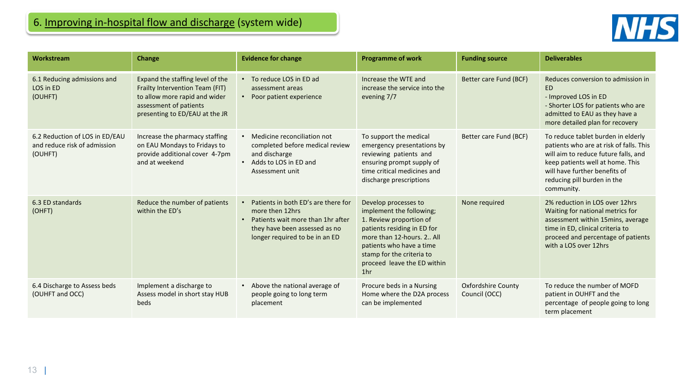

| Workstream                                                                | <b>Change</b>                                                                                                                                                    | <b>Evidence for change</b>                                                                                                                                                  | <b>Programme of work</b>                                                                                                                                                                                                                             | <b>Funding source</b>                      | <b>Deliverables</b>                                                                                                                                                                                                                     |
|---------------------------------------------------------------------------|------------------------------------------------------------------------------------------------------------------------------------------------------------------|-----------------------------------------------------------------------------------------------------------------------------------------------------------------------------|------------------------------------------------------------------------------------------------------------------------------------------------------------------------------------------------------------------------------------------------------|--------------------------------------------|-----------------------------------------------------------------------------------------------------------------------------------------------------------------------------------------------------------------------------------------|
| 6.1 Reducing admissions and<br>LOS in ED<br>(OUHFT)                       | Expand the staffing level of the<br>Frailty Intervention Team (FIT)<br>to allow more rapid and wider<br>assessment of patients<br>presenting to ED/EAU at the JR | To reduce LOS in ED ad<br>$\bullet$<br>assessment areas<br>Poor patient experience                                                                                          | Increase the WTE and<br>increase the service into the<br>evening 7/7                                                                                                                                                                                 | Better care Fund (BCF)                     | Reduces conversion to admission in<br><b>ED</b><br>- Improved LOS in ED<br>- Shorter LOS for patients who are<br>admitted to EAU as they have a<br>more detailed plan for recovery                                                      |
| 6.2 Reduction of LOS in ED/EAU<br>and reduce risk of admission<br>(OUHFT) | Increase the pharmacy staffing<br>on EAU Mondays to Fridays to<br>provide additional cover 4-7pm<br>and at weekend                                               | Medicine reconciliation not<br>completed before medical review<br>and discharge<br>Adds to LOS in ED and<br>$\bullet$<br>Assessment unit                                    | To support the medical<br>emergency presentations by<br>reviewing patients and<br>ensuring prompt supply of<br>time critical medicines and<br>discharge prescriptions                                                                                | Better care Fund (BCF)                     | To reduce tablet burden in elderly<br>patients who are at risk of falls. This<br>will aim to reduce future falls, and<br>keep patients well at home. This<br>will have further benefits of<br>reducing pill burden in the<br>community. |
| 6.3 ED standards<br>(OHFT)                                                | Reduce the number of patients<br>within the ED's                                                                                                                 | Patients in both ED's are there for<br>more then 12hrs<br>Patients wait more than 1hr after<br>$\bullet$<br>they have been assessed as no<br>longer required to be in an ED | Develop processes to<br>implement the following;<br>1. Review proportion of<br>patients residing in ED for<br>more than 12-hours, 2., All<br>patients who have a time<br>stamp for the criteria to<br>proceed leave the ED within<br>1 <sub>hr</sub> | None required                              | 2% reduction in LOS over 12hrs<br>Waiting for national metrics for<br>assessment within 15 mins, average<br>time in ED, clinical criteria to<br>proceed and percentage of patients<br>with a LOS over 12hrs                             |
| 6.4 Discharge to Assess beds<br>(OUHFT and OCC)                           | Implement a discharge to<br>Assess model in short stay HUB<br>beds                                                                                               | Above the national average of<br>people going to long term<br>placement                                                                                                     | Procure beds in a Nursing<br>Home where the D2A process<br>can be implemented                                                                                                                                                                        | <b>Oxfordshire County</b><br>Council (OCC) | To reduce the number of MOFD<br>patient in OUHFT and the<br>percentage of people going to long<br>term placement                                                                                                                        |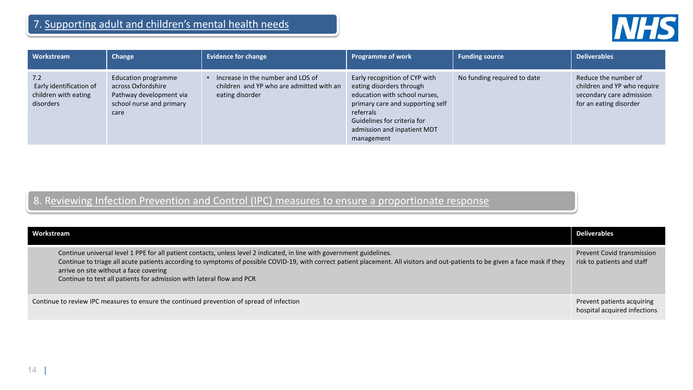

| Workstream                                                          | Change                                                                                                   | <b>Evidence for change</b>                                                                       | <b>Programme of work</b>                                                                                                                                                                                                | <b>Funding source</b>       | <b>Deliverables</b>                                                                                       |
|---------------------------------------------------------------------|----------------------------------------------------------------------------------------------------------|--------------------------------------------------------------------------------------------------|-------------------------------------------------------------------------------------------------------------------------------------------------------------------------------------------------------------------------|-----------------------------|-----------------------------------------------------------------------------------------------------------|
| 7.2<br>Early identification of<br>children with eating<br>disorders | Education programme<br>across Oxfordshire<br>Pathway development via<br>school nurse and primary<br>care | Increase in the number and LOS of<br>children and YP who are admitted with an<br>eating disorder | Early recognition of CYP with<br>eating disorders through<br>education with school nurses,<br>primary care and supporting self<br>referrals<br>Guidelines for criteria for<br>admission and inpatient MDT<br>management | No funding required to date | Reduce the number of<br>children and YP who require<br>secondary care admission<br>for an eating disorder |

### 8. Reviewing Infection Prevention and Control (IPC) measures to ensure a proportionate response

| Workstream                                                                                                                                                                                                                                                                                                                                                                                                                   | <b>Deliverables</b>                                             |
|------------------------------------------------------------------------------------------------------------------------------------------------------------------------------------------------------------------------------------------------------------------------------------------------------------------------------------------------------------------------------------------------------------------------------|-----------------------------------------------------------------|
| Continue universal level 1 PPE for all patient contacts, unless level 2 indicated, in line with government guidelines.<br>Continue to triage all acute patients according to symptoms of possible COVID-19, with correct patient placement. All visitors and out-patients to be given a face mask if they<br>arrive on site without a face covering<br>Continue to test all patients for admission with lateral flow and PCR | <b>Prevent Covid transmission</b><br>risk to patients and staff |
| Continue to review IPC measures to ensure the continued prevention of spread of infection                                                                                                                                                                                                                                                                                                                                    | Prevent patients acquiring<br>hospital acquired infections      |